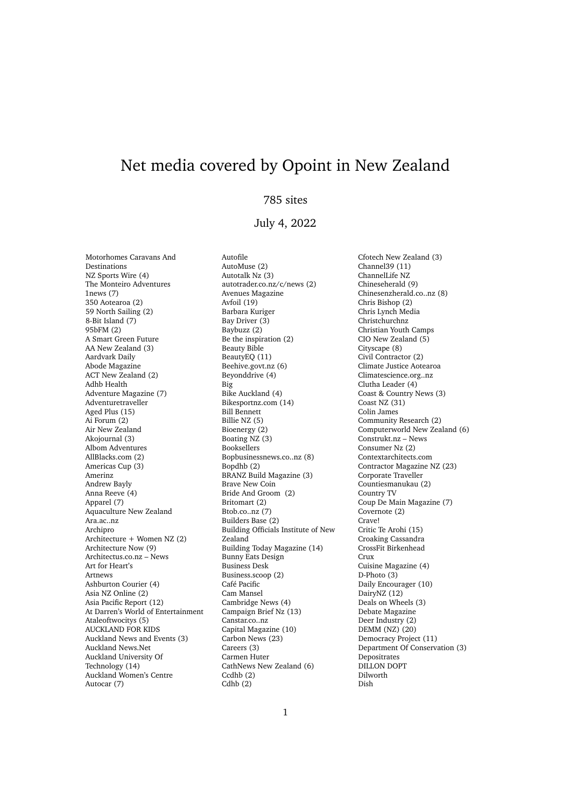## Net media covered by Opoint in New Zealand

## 785 sites

## July 4, 2022

Motorhomes Caravans And Destinations NZ Sports Wire (4) The Monteiro Adventures 1news (7) 350 Aotearoa (2) 59 North Sailing (2) 8-Bit Island (7) 95bFM (2) A Smart Green Future AA New Zealand (3) Aardvark Daily Abode Magazine ACT New Zealand (2) Adhb Health Adventure Magazine (7) Adventuretraveller Aged Plus (15) Ai Forum (2) Air New Zealand Akojournal (3) Albom Adventures AllBlacks.com (2) Americas Cup (3) Amerinz Andrew Bayly Anna Reeve (4) Apparel (7) Aquaculture New Zealand Ara.ac..nz Archipro Architecture + Women NZ (2) Architecture Now (9) Architectus.co.nz – News Art for Heart's Artnews Ashburton Courier (4) Asia NZ Online (2) Asia Pacific Report (12) At Darren's World of Entertainment Ataleoftwocitys (5) AUCKLAND FOR KIDS Auckland News and Events (3) Auckland News.Net Auckland University Of Technology (14) Auckland Women's Centre Autocar (7)

Autofile AutoMuse (2) Autotalk Nz (3) autotrader.co.nz/c/news (2) Avenues Magazine Avfoil (19) Barbara Kuriger Bay Driver (3) Baybuzz (2) Be the inspiration (2) Beauty Bible BeautyEQ (11) Beehive.govt.nz (6) Beyonddrive (4) Big Bike Auckland (4) Bikesportnz.com (14) Bill Bennett Billie NZ (5) Bioenergy (2) Boating NZ (3) Booksellers Bopbusinessnews.co..nz (8) Bopdhb (2) BRANZ Build Magazine (3) Brave New Coin Bride And Groom (2) Britomart (2) Btob.co..nz (7) Builders Base (2) Building Officials Institute of New Zealand Building Today Magazine (14) Bunny Eats Design Business Desk Business.scoop (2) Café Pacific Cam Mansel Cambridge News (4) Campaign Brief Nz (13) Canstar.co..nz Capital Magazine (10) Carbon News (23) Careers (3) Carmen Huter CathNews New Zealand (6) Ccdhb (2)  $Cdhb(2)$ 

Cfotech New Zealand (3) Channel39 (11) ChannelLife NZ Chineseherald (9) Chinesenzherald.co..nz (8) Chris Bishop (2) Chris Lynch Media Christchurchnz Christian Youth Camps CIO New Zealand (5) Cityscape (8) Civil Contractor (2) Climate Justice Aotearoa Climatescience.org..nz Clutha Leader (4) Coast & Country News (3) Coast NZ (31) Colin James Community Research (2) Computerworld New Zealand (6) Construkt.nz – News Consumer Nz (2) Contextarchitects.com Contractor Magazine NZ (23) Corporate Traveller Countiesmanukau (2) Country TV Coup De Main Magazine (7) Covernote (2) Crave! Critic Te Arohi (15) Croaking Cassandra CrossFit Birkenhead Crux Cuisine Magazine (4) D-Photo (3) Daily Encourager (10) DairyNZ (12) Deals on Wheels (3) Debate Magazine Deer Industry (2) DEMM (NZ) (20) Democracy Project (11) Department Of Conservation (3) Depositrates DILLON DOPT Dilworth Dish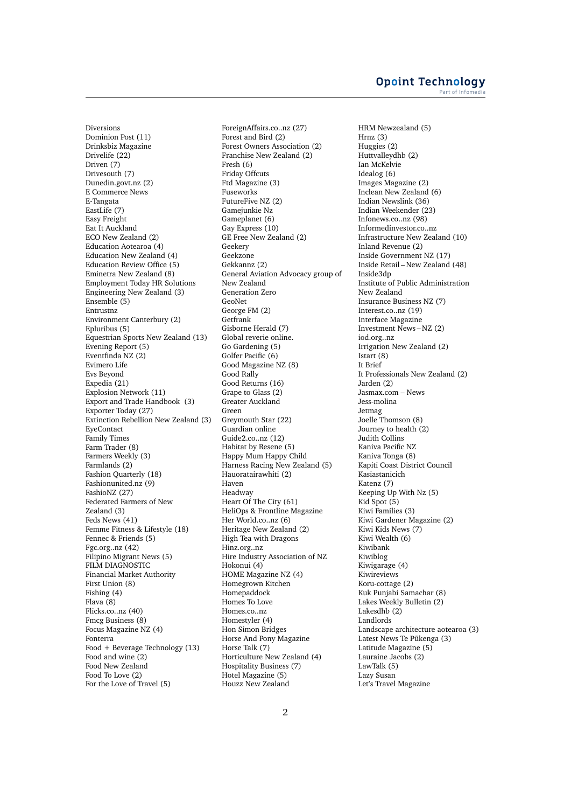Diversions Dominion Post (11) Drinksbiz Magazine Drivelife (22) Driven (7) Drivesouth (7) Dunedin.govt.nz (2) E Commerce News E-Tangata EastLife (7) Easy Freight Eat It Auckland ECO New Zealand (2) Education Aotearoa (4) Education New Zealand (4) Education Review Office (5) Eminetra New Zealand (8) Employment Today HR Solutions Engineering New Zealand (3) Ensemble (5) Entrustnz Environment Canterbury (2) Epluribus (5) Equestrian Sports New Zealand (13) Evening Report (5) Eventfinda  $NZ(2)$ Evimero Life Evs Beyond Expedia (21) Explosion Network (11) Export and Trade Handbook (3) Exporter Today (27) Extinction Rebellion New Zealand (3) EyeContact Family Times Farm Trader (8) Farmers Weekly (3) Farmlands (2) Fashion Quarterly (18) Fashionunited.nz (9) FashioNZ (27) Federated Farmers of New Zealand (3) Feds News (41) Femme Fitness & Lifestyle (18) Fennec & Friends (5) Fgc.org..nz (42) Filipino Migrant News (5) FILM DIAGNOSTIC Financial Market Authority First Union (8) Fishing (4) Flava (8) Flicks.co..nz (40) Fmcg Business (8) Focus Magazine NZ (4) Fonterra Food + Beverage Technology (13) Food and wine (2) Food New Zealand Food To Love (2) For the Love of Travel (5)

ForeignAffairs.co..nz (27) Forest and Bird (2) Forest Owners Association (2) Franchise New Zealand (2) Fresh (6) Friday Offcuts Ftd Magazine (3) Fuseworks FutureFive NZ (2) Gamejunkie Nz Gameplanet (6) Gay Express (10) GE Free New Zealand (2) Geekery Geekzone Gekkannz (2) General Aviation Advocacy group of New Zealand Generation Zero GeoNet George FM (2) Getfrank Gisborne Herald (7) Global reverie online. Go Gardening (5) Golfer Pacific (6) Good Magazine NZ (8) Good Rally Good Returns (16) Grape to Glass (2) Greater Auckland Green Greymouth Star (22) Guardian online Guide2.co..nz (12) Habitat by Resene (5) Happy Mum Happy Child Harness Racing New Zealand (5) Hauoratairawhiti (2) Haven Headway Heart Of The City (61) HeliOps & Frontline Magazine Her World.co..nz (6) Heritage New Zealand (2) High Tea with Dragons Hinz.org..nz Hire Industry Association of NZ Hokonui (4) HOME Magazine NZ (4) Homegrown Kitchen Homepaddock Homes To Love Homes.co..nz Homestyler (4) Hon Simon Bridges Horse And Pony Magazine Horse Talk (7) Horticulture New Zealand (4) Hospitality Business (7) Hotel Magazine (5) Houzz New Zealand

HRM Newzealand (5) Hrnz (3) Huggies (2) Huttvalleydhb (2) Ian McKelvie Idealog (6) Images Magazine (2) Inclean New Zealand (6) Indian Newslink (36) Indian Weekender (23) Infonews.co..nz (98) Informedinvestor.co..nz Infrastructure New Zealand (10) Inland Revenue (2) Inside Government NZ (17) Inside Retail – New Zealand (48) Inside3dp Institute of Public Administration New Zealand Insurance Business NZ (7) Interest.co..nz (19) Interface Magazine Investment News – NZ (2) iod.org..nz Irrigation New Zealand (2) Istart (8) It Brief It Professionals New Zealand (2) Jarden (2) Jasmax.com – News Jess-molina Jetmag Joelle Thomson (8) Journey to health (2) Judith Collins Kaniva Pacific NZ Kaniva Tonga (8) Kapiti Coast District Council Kasiastanicich Katenz (7) Keeping Up With Nz (5) Kid  $Spot(5)$ Kiwi Families (3) Kiwi Gardener Magazine (2) Kiwi Kids News (7) Kiwi Wealth (6) Kiwibank Kiwiblog Kiwigarage (4) Kiwireviews Koru-cottage (2) Kuk Punjabi Samachar (8) Lakes Weekly Bulletin (2) Lakesdhb (2) Landlords Landscape architecture aotearoa (3) Latest News Te Pūkenga (3) Latitude Magazine (5) Lauraine Jacobs (2) LawTalk (5) Lazy Susan Let's Travel Magazine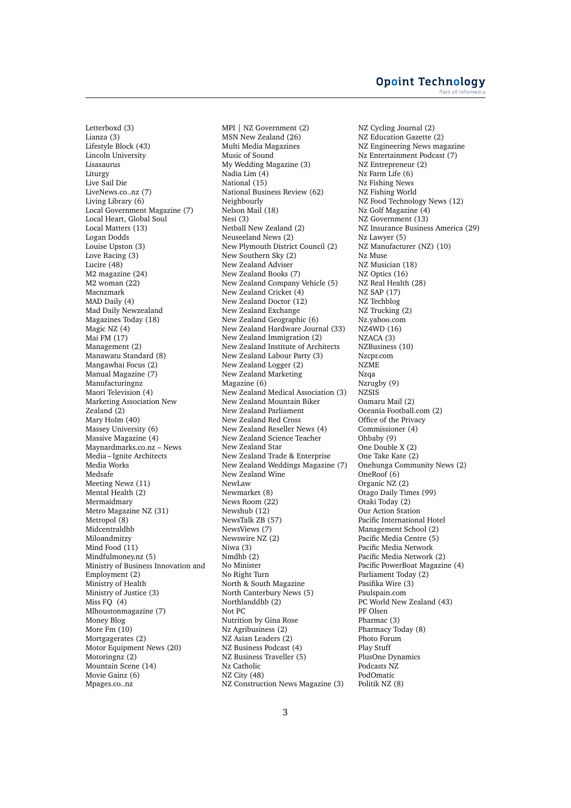Letterboxd (3) Lianza (3) Lifestyle Block (43) Lincoln University Lisasaurus Liturgy Live Sail Die LiveNews.co..nz (7) Living Library (6) Local Government Magazine (7) Local Heart, Global Soul Local Matters (13) Logan Dodds Louise Upston (3) Love Racing (3) Lucire (48) M2 magazine (24) M2 woman (22) Macnzmark MAD Daily (4) Mad Daily Newzealand Magazines Today (18) Magic NZ (4) Mai FM (17) Management (2) Manawatu Standard (8) Mangawhai Focus (2) Manual Magazine (7) Manufacturingnz Maori Television (4) Marketing Association New Zealand (2) Mary Holm (40) Massey University (6) Massive Magazine (4) Maynardmarks.co.nz – News Media – Ignite Architects Media Works Medsafe Meeting Newz (11) Mental Health (2) Mermaidmary Metro Magazine NZ (31) Metropol<sup>(8)</sup> Midcentraldhb Miloandmitzy Mind Food (11) Mindfulmoney.nz (5) Ministry of Business Innovation and Employment (2) Ministry of Health Ministry of Justice (3) Miss FQ (4) Mlhoustonmagazine (7) Money Blog More Fm (10) Mortgagerates (2) Motor Equipment News (20) Motoringnz (2) Mountain Scene (14) Movie Gainz (6) Mpages.co..nz

MPI | NZ Government (2) MSN New Zealand (26) Multi Media Magazines Music of Sound My Wedding Magazine (3) Nadia Lim (4) National (15) National Business Review (62) Neighbourly Nelson Mail (18) Nesi (3) Netball New Zealand (2) Neuseeland News (2) New Plymouth District Council (2) New Southern Sky (2) New Zealand Adviser New Zealand Books (7) New Zealand Company Vehicle (5) New Zealand Cricket (4) New Zealand Doctor (12) New Zealand Exchange New Zealand Geographic (6) New Zealand Hardware Journal (33) New Zealand Immigration (2) New Zealand Institute of Architects New Zealand Labour Party (3) New Zealand Logger (2) New Zealand Marketing Magazine (6) New Zealand Medical Association (3) New Zealand Mountain Biker New Zealand Parliament New Zealand Red Cross New Zealand Reseller News (4) New Zealand Science Teacher New Zealand Star New Zealand Trade & Enterprise New Zealand Weddings Magazine (7) New Zealand Wine NewLaw Newmarket (8) News Room (22) Newshub (12) NewsTalk ZB (57) NewsViews (7) Newswire NZ (2) Niwa (3) Nmdhb (2) No Minister No Right Turn North & South Magazine North Canterbury News (5) Northlanddhb (2) Not PC Nutrition by Gina Rose Nz Agribusiness (2) NZ Asian Leaders (2) NZ Business Podcast (4) NZ Business Traveller (5) Nz Catholic NZ City (48) NZ Construction News Magazine (3)

NZ Cycling Journal (2) NZ Education Gazette (2) NZ Engineering News magazine Nz Entertainment Podcast (7) NZ Entrepreneur (2) Nz Farm Life (6) Nz Fishing News NZ Fishing World NZ Food Technology News (12) Nz Golf Magazine (4) NZ Government (13) NZ Insurance Business America (29) Nz Lawyer (5) NZ Manufacturer (NZ) (10) Nz Muse NZ Musician (18) NZ Optics (16) NZ Real Health (28) NZ SAP (17) NZ Techblog NZ Trucking (2) Nz.yahoo.com NZ4WD (16) NZACA (3) NZBusiness (10) Nzcpr.com NZME Nzqa Nzrugby (9) NZSIS Oamaru Mail (2) Oceania Football.com (2) Office of the Privacy Commissioner (4) Ohbaby (9) One Double X (2) One Take Kate (2) Onehunga Community News (2) OneRoof (6) Organic NZ (2) Otago Daily Times (99) Otaki Today (2) Our Action Station Pacific International Hotel Management School (2) Pacific Media Centre (5) Pacific Media Network Pacific Media Network (2) Pacific PowerBoat Magazine (4) Parliament Today (2) Pasifika Wire (3) Paulspain.com PC World New Zealand (43) PF Olsen Pharmac (3) Pharmacy Today (8) Photo Forum Play Stuff PlusOne Dynamics Podcasts NZ PodOmatic Politik NZ (8)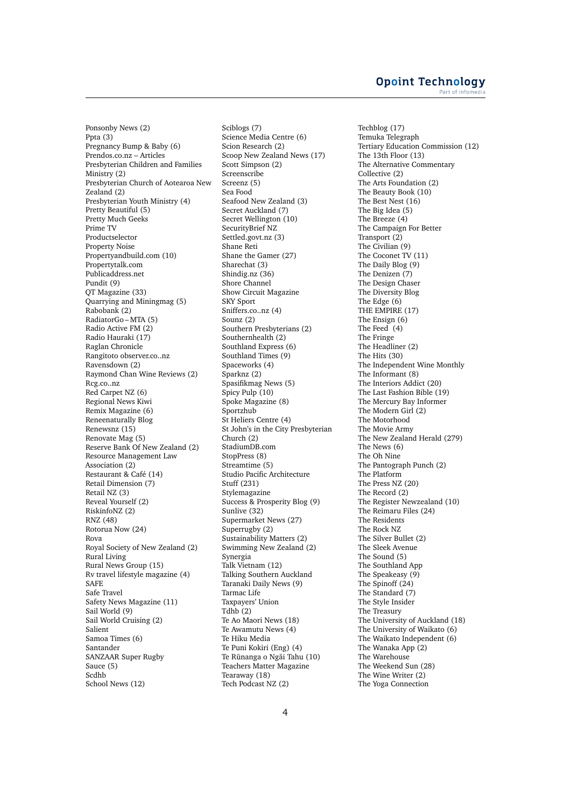Ponsonby News (2) Ppta (3) Pregnancy Bump & Baby (6) Prendos.co.nz – Articles Presbyterian Children and Families Ministry (2) Presbyterian Church of Aotearoa New Zealand (2) Presbyterian Youth Ministry (4) Pretty Beautiful (5) Pretty Much Geeks Prime TV Productselector Property Noise Propertyandbuild.com (10) Propertytalk.com Publicaddress.net Pundit (9) QT Magazine (33) Quarrying and Miningmag (5) Rabobank (2) RadiatorGo – MTA (5) Radio Active FM (2) Radio Hauraki (17) Raglan Chronicle Rangitoto observer.co..nz Ravensdown (2) Raymond Chan Wine Reviews (2) Rcg.co..nz Red Carpet NZ (6) Regional News Kiwi Remix Magazine (6) Reneenaturally Blog Renewsnz (15) Renovate Mag (5) Reserve Bank Of New Zealand (2) Resource Management Law Association (2) Restaurant & Café (14) Retail Dimension (7) Retail NZ (3) Reveal Yourself (2) RiskinfoNZ (2) RNZ (48) Rotorua Now (24) Rova Royal Society of New Zealand (2) Rural Living Rural News Group (15) Rv travel lifestyle magazine (4) **SAFE** Safe Travel Safety News Magazine (11) Sail World (9) Sail World Cruising (2) Salient Samoa Times (6) Santander SANZAAR Super Rugby Sauce (5) Scdhb School News (12)

Sciblogs (7) Science Media Centre (6) Scion Research (2) Scoop New Zealand News (17) Scott Simpson (2) Screenscribe Screenz (5) Sea Food Seafood New Zealand (3) Secret Auckland (7) Secret Wellington (10) SecurityBrief NZ Settled.govt.nz (3) Shane Reti Shane the Gamer (27) Sharechat (3) Shindig.nz (36) Shore Channel Show Circuit Magazine SKY Sport Sniffers.co..nz (4) Sounz (2) Southern Presbyterians (2) Southernhealth (2) Southland Express (6) Southland Times (9) Spaceworks (4) Sparknz (2) Spasifikmag News (5) Spicy Pulp (10) Spoke Magazine (8) Sportzhub St Heliers Centre (4) St John's in the City Presbyterian Church (2) StadiumDB.com StopPress (8) Streamtime (5) Studio Pacific Architecture Stuff (231) Stylemagazine Success & Prosperity Blog (9) Sunlive (32) Supermarket News (27) Superrugby (2) Sustainability Matters (2) Swimming New Zealand (2) Synergia Talk Vietnam (12) Talking Southern Auckland Taranaki Daily News (9) Tarmac Life Taxpayers' Union Tdhb (2) Te Ao Maori News (18) Te Awamutu News (4) Te Hiku Media Te Puni Kokiri (Eng) (4) Te Rūnanga o Ngai Tahu (10) Teachers Matter Magazine Tearaway (18) Tech Podcast NZ (2)

Techblog (17) Temuka Telegraph Tertiary Education Commission (12) The 13th Floor (13) The Alternative Commentary Collective (2) The Arts Foundation (2) The Beauty Book (10) The Best Nest (16) The Big Idea (5) The Breeze (4) The Campaign For Better Transport (2) The Civilian (9) The Coconet TV (11) The Daily Blog (9) The Denizen (7) The Design Chaser The Diversity Blog The Edge (6) THE EMPIRE (17) The Ensign (6) The Feed (4) The Fringe The Headliner (2) The Hits (30) The Independent Wine Monthly The Informant (8) The Interiors Addict (20) The Last Fashion Bible (19) The Mercury Bay Informer The Modern Girl (2) The Motorhood The Movie Army The New Zealand Herald (279) The News (6) The Oh Nine The Pantograph Punch (2) The Platform The Press NZ (20) The Record (2) The Register Newzealand (10) The Reimaru Files (24) The Residents The Rock NZ The Silver Bullet (2) The Sleek Avenue The Sound (5) The Southland App The Speakeasy (9) The Spinoff (24) The Standard (7) The Style Insider The Treasury The University of Auckland (18) The University of Waikato (6) The Waikato Independent (6) The Wanaka App (2) The Warehouse The Weekend Sun (28) The Wine Writer (2) The Yoga Connection